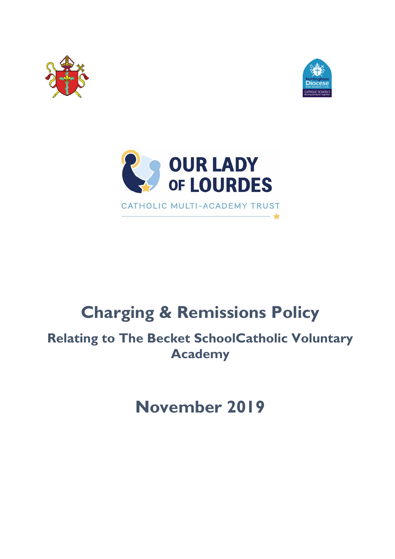





# **Charging & Remissions Policy**

**Relating to The Becket SchoolCatholic Voluntary Academy**

**November 2019**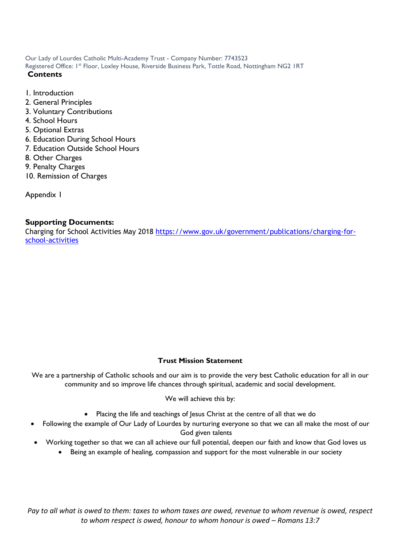Our Lady of Lourdes Catholic Multi-Academy Trust - Company Number: 7743523 Registered Office: 1st Floor, Loxley House, Riverside Business Park, Tottle Road, Nottingham NG2 IRT

#### **Contents**

- 1. Introduction
- 2. General Principles
- 3. Voluntary Contributions
- 4. School Hours
- 5. Optional Extras
- 6. Education During School Hours
- 7. Education Outside School Hours
- 8. Other Charges
- 9. Penalty Charges
- 10. Remission of Charges

Appendix 1

#### **Supporting Documents:**

Charging for School Activities May 2018 [https://www.gov.uk/government/publications/charging-for](https://www.gov.uk/government/publications/charging-for-school-activities)[school-activities](https://www.gov.uk/government/publications/charging-for-school-activities)

#### **Trust Mission Statement**

We are a partnership of Catholic schools and our aim is to provide the very best Catholic education for all in our community and so improve life chances through spiritual, academic and social development.

#### We will achieve this by:

- Placing the life and teachings of Jesus Christ at the centre of all that we do
- Following the example of Our Lady of Lourdes by nurturing everyone so that we can all make the most of our God given talents
- Working together so that we can all achieve our full potential, deepen our faith and know that God loves us
	- Being an example of healing, compassion and support for the most vulnerable in our society

*Pay to all what is owed to them: taxes to whom taxes are owed, revenue to whom revenue is owed, respect to whom respect is owed, honour to whom honour is owed – Romans 13:7*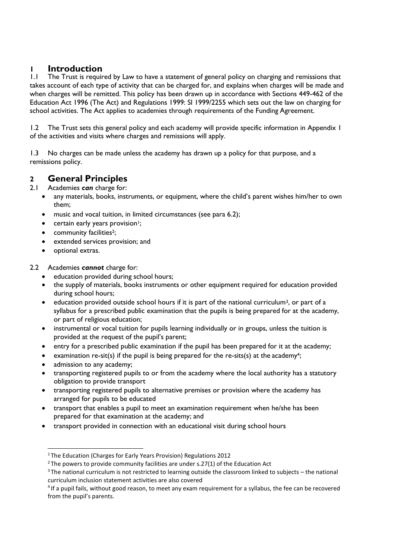## **1 Introduction**<br>**1.1** The Trust is require

The Trust is required by Law to have a statement of general policy on charging and remissions that takes account of each type of activity that can be charged for, and explains when charges will be made and when charges will be remitted. This policy has been drawn up in accordance with Sections 449-462 of the Education Act 1996 (The Act) and Regulations 1999: SI 1999/2255 which sets out the law on charging for school activities. The Act applies to academies through requirements of the Funding Agreement.

1.2 The Trust sets this general policy and each academy will provide specific information in Appendix 1 of the activities and visits where charges and remissions will apply.

1.3 No charges can be made unless the academy has drawn up a policy for that purpose, and a remissions policy.

## **2 General Principles**

Academies **can** charge for:

- any materials, books, instruments, or equipment, where the child's parent wishes him/her to own them;
- music and vocal tuition, in limited circumstances (see para 6.2);
- certain early years provision<sup>1</sup>;
- community facilities<sup>2</sup>;
- extended services provision; and
- optional extras.
- 2.2 Academies *cannot* charge for:
	- education provided during school hours;
	- the supply of materials, books instruments or other equipment required for education provided during school hours;
	- $\bullet$  education provided outside school hours if it is part of the national curriculum<sup>3</sup>, or part of a syllabus for a prescribed public examination that the pupils is being prepared for at the academy, or part of religious education;
	- instrumental or vocal tuition for pupils learning individually or in groups, unless the tuition is provided at the request of the pupil's parent;
	- entry for a prescribed public examination if the pupil has been prepared for it at the academy;
	- examination re-sit(s) if the pupil is being prepared for the re-sits(s) at the academy<sup>4</sup>;
	- admission to any academy;
	- transporting registered pupils to or from the academy where the local authority has a statutory obligation to provide transport
	- transporting registered pupils to alternative premises or provision where the academy has arranged for pupils to be educated
	- transport that enables a pupil to meet an examination requirement when he/she has been prepared for that examination at the academy; and
	- transport provided in connection with an educational visit during school hours

<sup>1</sup>The Education (Charges for Early Years Provision) Regulations 2012

 $2$ The powers to provide community facilities are under s.27(1) of the Education Act

<sup>3</sup>The national curriculum is not restricted to learning outside the classroom linked to subjects – the national curriculum inclusion statement activities are also covered

<sup>&</sup>lt;sup>4</sup> If a pupil fails, without good reason, to meet any exam requirement for a syllabus, the fee can be recovered from the pupil's parents.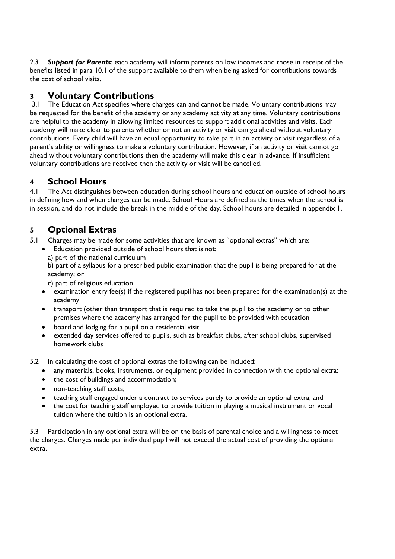2.3 *Support for Parents*: each academy will inform parents on low incomes and those in receipt of the benefits listed in para 10.1 of the support available to them when being asked for contributions towards the cost of school visits.

### **3 Voluntary Contributions**

3.1 The Education Act specifies where charges can and cannot be made. Voluntary contributions may be requested for the benefit of the academy or any academy activity at any time. Voluntary contributions are helpful to the academy in allowing limited resources to support additional activities and visits. Each academy will make clear to parents whether or not an activity or visit can go ahead without voluntary contributions. Every child will have an equal opportunity to take part in an activity or visit regardless of a parent's ability or willingness to make a voluntary contribution. However, if an activity or visit cannot go ahead without voluntary contributions then the academy will make this clear in advance. If insufficient voluntary contributions are received then the activity or visit will be cancelled.

### **4 School Hours**

4.1 The Act distinguishes between education during school hours and education outside of school hours in defining how and when charges can be made. School Hours are defined as the times when the school is in session, and do not include the break in the middle of the day. School hours are detailed in appendix 1.

### **5 Optional Extras**

- 5.1 Charges may be made for some activities that are known as "optional extras" which are:
	- Education provided outside of school hours that is not:
		- a) part of the national curriculum

b) part of a syllabus for a prescribed public examination that the pupil is being prepared for at the academy; or

c) part of religious education

- examination entry fee(s) if the registered pupil has not been prepared for the examination(s) at the academy
- transport (other than transport that is required to take the pupil to the academy or to other premises where the academy has arranged for the pupil to be provided with education
- board and lodging for a pupil on a residential visit
- extended day services offered to pupils, such as breakfast clubs, after school clubs, supervised homework clubs
- 5.2 In calculating the cost of optional extras the following can be included:
	- any materials, books, instruments, or equipment provided in connection with the optional extra;
	- the cost of buildings and accommodation;
	- non-teaching staff costs;
	- teaching staff engaged under a contract to services purely to provide an optional extra; and
	- the cost for teaching staff employed to provide tuition in playing a musical instrument or vocal tuition where the tuition is an optional extra.

5.3 Participation in any optional extra will be on the basis of parental choice and a willingness to meet the charges. Charges made per individual pupil will not exceed the actual cost of providing the optional extra.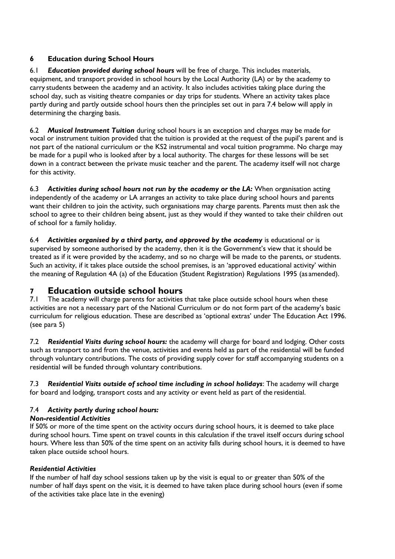#### **6 Education during School Hours**

6.1 *Education provided during school hours* will be free of charge. This includes materials, equipment, and transport provided in school hours by the Local Authority (LA) or by the academy to carry students between the academy and an activity. It also includes activities taking place during the school day, such as visiting theatre companies or day trips for students. Where an activity takes place partly during and partly outside school hours then the principles set out in para 7.4 below will apply in determining the charging basis.

6.2 *Musical Instrument Tuition* during school hours is an exception and charges may be made for vocal or instrument tuition provided that the tuition is provided at the request of the pupil's parent and is not part of the national curriculum or the KS2 instrumental and vocal tuition programme. No charge may be made for a pupil who is looked after by a local authority. The charges for these lessons will be set down in a contract between the private music teacher and the parent. The academy itself will not charge for this activity.

6.3 *Activities during school hours not run by the academy or the LA:* When organisation acting independently of the academy or LA arranges an activity to take place during school hours and parents want their children to join the activity, such organisations may charge parents. Parents must then ask the school to agree to their children being absent, just as they would if they wanted to take their children out of school for a family holiday.

6.4 *Activities organised by a third party, and approved by the academy* is educational or is supervised by someone authorised by the academy, then it is the Government's view that it should be treated as if it were provided by the academy, and so no charge will be made to the parents, or students. Such an activity, if it takes place outside the school premises, is an 'approved educational activity' within the meaning of Regulation 4A (a) of the Education (Student Registration) Regulations 1995 (as amended).

### **7 Education outside school hours**

The academy will charge parents for activities that take place outside school hours when these activities are not a necessary part of the National Curriculum or do not form part of the academy's basic curriculum for religious education. These are described as 'optional extras' under The Education Act 1996. (see para 5)

7.2 *Residential Visits during school hours:* the academy will charge for board and lodging. Other costs such as transport to and from the venue, activities and events held as part of the residential will be funded through voluntary contributions. The costs of providing supply cover for staff accompanying students on a residential will be funded through voluntary contributions.

7.3 *Residential Visits outside of school time including in school holidays*: The academy will charge for board and lodging, transport costs and any activity or event held as part of the residential.

#### 7.4 *Activity partly during school hours:*

#### *Non-residential Activities*

If 50% or more of the time spent on the activity occurs during school hours, it is deemed to take place during school hours. Time spent on travel counts in this calculation if the travel itself occurs during school hours. Where less than 50% of the time spent on an activity falls during school hours, it is deemed to have taken place outside school hours.

#### *Residential Activities*

If the number of half day school sessions taken up by the visit is equal to or greater than 50% of the number of half days spent on the visit, it is deemed to have taken place during school hours (even if some of the activities take place late in the evening)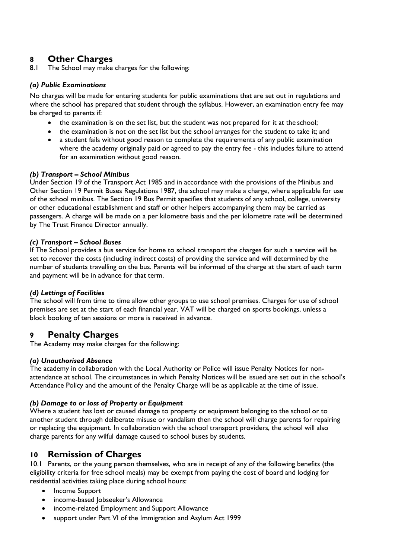## **8 Other Charges**

The School may make charges for the following:

#### *(a) Public Examinations*

No charges will be made for entering students for public examinations that are set out in regulations and where the school has prepared that student through the syllabus. However, an examination entry fee may be charged to parents if:

- the examination is on the set list, but the student was not prepared for it at the school;
- the examination is not on the set list but the school arranges for the student to take it; and
- a student fails without good reason to complete the requirements of any public examination where the academy originally paid or agreed to pay the entry fee - this includes failure to attend for an examination without good reason.

#### *(b) Transport – School Minibus*

Under Section 19 of the Transport Act 1985 and in accordance with the provisions of the Minibus and Other Section 19 Permit Buses Regulations 1987, the school may make a charge, where applicable for use of the school minibus. The Section 19 Bus Permit specifies that students of any school, college, university or other educational establishment and staff or other helpers accompanying them may be carried as passengers. A charge will be made on a per kilometre basis and the per kilometre rate will be determined by The Trust Finance Director annually.

#### *(c) Transport – School Buses*

If The School provides a bus service for home to school transport the charges for such a service will be set to recover the costs (including indirect costs) of providing the service and will determined by the number of students travelling on the bus. Parents will be informed of the charge at the start of each term and payment will be in advance for that term.

#### *(d) Lettings of Facilities*

The school will from time to time allow other groups to use school premises. Charges for use of school premises are set at the start of each financial year. VAT will be charged on sports bookings, unless a block booking of ten sessions or more is received in advance.

#### **9 Penalty Charges**

The Academy may make charges for the following:

#### *(a) Unauthorised Absence*

The academy in collaboration with the Local Authority or Police will issue Penalty Notices for nonattendance at school. The circumstances in which Penalty Notices will be issued are set out in the school's Attendance Policy and the amount of the Penalty Charge will be as applicable at the time of issue.

#### *(b) Damage to or loss of Property or Equipment*

Where a student has lost or caused damage to property or equipment belonging to the school or to another student through deliberate misuse or vandalism then the school will charge parents for repairing or replacing the equipment. In collaboration with the school transport providers, the school will also charge parents for any wilful damage caused to school buses by students.

#### **10 Remission of Charges**

10.1 Parents, or the young person themselves, who are in receipt of any of the following benefits (the eligibility criteria for free school meals) may be exempt from paying the cost of board and lodging for residential activities taking place during school hours:

- Income Support
- income-based Jobseeker's Allowance
- income-related Employment and Support Allowance
- support under Part VI of the Immigration and Asylum Act 1999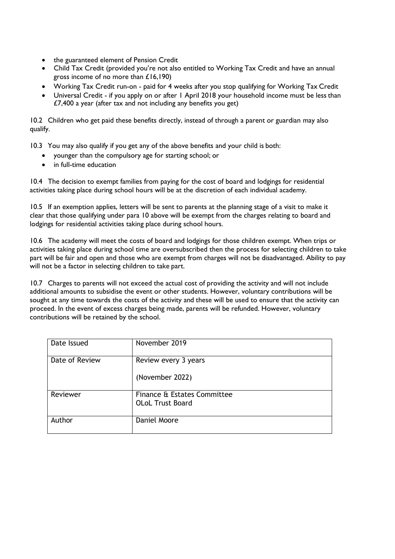- the guaranteed element of Pension Credit
- Child Tax Credit (provided you're not also entitled to Working Tax Credit and have an annual gross income of no more than £16,190)
- Working Tax Credit run-on paid for 4 weeks after you stop qualifying for Working Tax Credit
- Universal Credit if you apply on or after 1 April 2018 your household income must be less than £7,400 a year (after tax and not including any benefits you get)

10.2 Children who get paid these benefits directly, instead of through a parent or guardian may also qualify.

10.3 You may also qualify if you get any of the above benefits and your child is both:

- younger than the compulsory age for starting school; or
- in full-time education

10.4 The decision to exempt families from paying for the cost of board and lodgings for residential activities taking place during school hours will be at the discretion of each individual academy.

10.5 If an exemption applies, letters will be sent to parents at the planning stage of a visit to make it clear that those qualifying under para 10 above will be exempt from the charges relating to board and lodgings for residential activities taking place during school hours.

10.6 The academy will meet the costs of board and lodgings for those children exempt. When trips or activities taking place during school time are oversubscribed then the process for selecting children to take part will be fair and open and those who are exempt from charges will not be disadvantaged. Ability to pay will not be a factor in selecting children to take part.

10.7 Charges to parents will not exceed the actual cost of providing the activity and will not include additional amounts to subsidise the event or other students. However, voluntary contributions will be sought at any time towards the costs of the activity and these will be used to ensure that the activity can proceed. In the event of excess charges being made, parents will be refunded. However, voluntary contributions will be retained by the school.

| Date Issued    | November 2019               |
|----------------|-----------------------------|
| Date of Review | Review every 3 years        |
|                | (November 2022)             |
| Reviewer       | Finance & Estates Committee |
|                | <b>OLoL Trust Board</b>     |
| Author         | Daniel Moore                |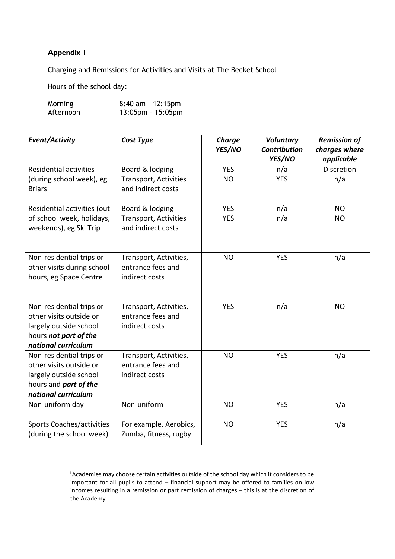#### **Appendix 1**

Charging and Remissions for Activities and Visits at The Becket School

Hours of the school day:

| Morning   | $8:40$ am - 12:15pm  |
|-----------|----------------------|
| Afternoon | $13:05$ pm - 15:05pm |

| Event/Activity                                         | Cost Type                                          | <b>Charge</b><br>YES/NO | <b>Voluntary</b><br><b>Contribution</b><br>YES/NO | <b>Remission of</b><br>charges where<br>applicable |
|--------------------------------------------------------|----------------------------------------------------|-------------------------|---------------------------------------------------|----------------------------------------------------|
| <b>Residential activities</b>                          | Board & lodging                                    | <b>YES</b>              | n/a                                               | Discretion                                         |
| (during school week), eg<br><b>Briars</b>              | Transport, Activities<br>and indirect costs        | <b>NO</b>               | <b>YES</b>                                        | n/a                                                |
| Residential activities (out                            | Board & lodging                                    | <b>YES</b>              | n/a                                               | <b>NO</b>                                          |
| of school week, holidays,<br>weekends), eg Ski Trip    | <b>Transport, Activities</b><br>and indirect costs | <b>YES</b>              | n/a                                               | <b>NO</b>                                          |
| Non-residential trips or                               | Transport, Activities,                             | <b>NO</b>               | <b>YES</b>                                        | n/a                                                |
| other visits during school                             | entrance fees and                                  |                         |                                                   |                                                    |
| hours, eg Space Centre                                 | indirect costs                                     |                         |                                                   |                                                    |
| Non-residential trips or                               | Transport, Activities,                             | <b>YES</b>              | n/a                                               | <b>NO</b>                                          |
| other visits outside or                                | entrance fees and                                  |                         |                                                   |                                                    |
| largely outside school                                 | indirect costs                                     |                         |                                                   |                                                    |
| hours not part of the                                  |                                                    |                         |                                                   |                                                    |
| national curriculum                                    |                                                    |                         |                                                   |                                                    |
| Non-residential trips or                               | Transport, Activities,                             | <b>NO</b>               | <b>YES</b>                                        | n/a                                                |
| other visits outside or                                | entrance fees and<br>indirect costs                |                         |                                                   |                                                    |
| largely outside school<br>hours and <i>part of the</i> |                                                    |                         |                                                   |                                                    |
| national curriculum                                    |                                                    |                         |                                                   |                                                    |
| Non-uniform day                                        | Non-uniform                                        | <b>NO</b>               | <b>YES</b>                                        | n/a                                                |
|                                                        |                                                    |                         |                                                   |                                                    |
| <b>Sports Coaches/activities</b>                       | For example, Aerobics,                             | <b>NO</b>               | <b>YES</b>                                        | n/a                                                |
| (during the school week)                               | Zumba, fitness, rugby                              |                         |                                                   |                                                    |

<sup>&</sup>lt;sup>i</sup> Academies may choose certain activities outside of the school day which it considers to be important for all pupils to attend – financial support may be offered to families on low incomes resulting in a remission or part remission of charges – this is at the discretion of the Academy